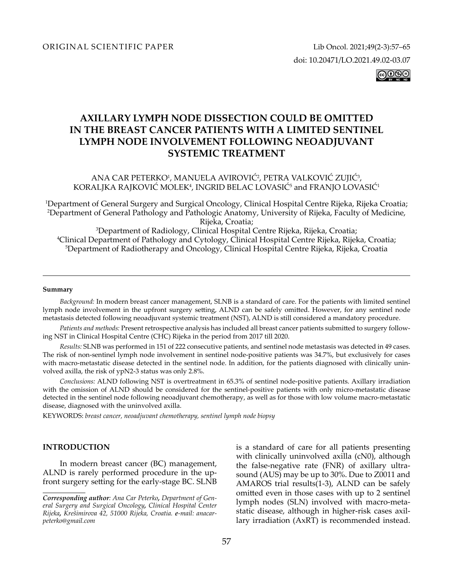|ര0്®©

# **AXILLARY LYMPH NODE DISSECTION COULD BE OMITTED IN THE BREAST CANCER PATIENTS WITH A LIMITED SENTINEL LYMPH NODE INVOLVEMENT FOLLOWING NEOADJUVANT SYSTEMIC TREATMENT**

ANA CAR PETERKO', MANUELA AVIROVIC', PETRA VALKOVIC ZUJIC', KORALJKA RAJKOVIC MOLEK<sup>4</sup>, INGRID BELAC LOVASIC<sup>5</sup> and FRANJO LOVASIC<sup>1</sup>

1 Department of General Surgery and Surgical Oncology, Clinical Hospital Centre Rijeka, Rijeka Croatia; 2 Department of General Pathology and Pathologic Anatomy, University of Rijeka, Faculty of Medicine, Rijeka, Croatia;<br>3 Denartment of Radiology, Clinical Hospital? <sup>3</sup>Department of Radiology, Clinical Hospital Centre Rijeka, Rijeka, Croatia;<br><sup>4</sup>Clinical Department of Pathology and Cytology, Clinical Hospital Centre Rijeka, Rijek Clinical Department of Pathology and Cytology, Clinical Hospital Centre Rijeka, Rijeka, Croatia; 5 <sup>5</sup>Department of Radiotherapy and Oncology, Clinical Hospital Centre Rijeka, Rijeka, Croatia

#### **Summary**

*Background:* In modern breast cancer management, SLNB is a standard of care. For the patients with limited sentinel lymph node involvement in the upfront surgery setting, ALND can be safely omitted. However, for any sentinel node metastasis detected following neoadjuvant systemic treatment (NST), ALND is still considered a mandatory procedure.

*Patients and methods:* Present retrospective analysis has included all breast cancer patients submitted to surgery following NST in Clinical Hospital Centre (CHC) Rijeka in the period from 2017 till 2020.

*Results:* SLNB was performed in 151 of 222 consecutive patients, and sentinel node metastasis was detected in 49 cases. The risk of non-sentinel lymph node involvement in sentinel node-positive patients was 34.7%, but exclusively for cases with macro-metastatic disease detected in the sentinel node. In addition, for the patients diagnosed with clinically uninvolved axilla, the risk of ypN2-3 status was only 2.8%.

*Conclusions:* ALND following NST is overtreatment in 65.3% of sentinel node-positive patients. Axillary irradiation with the omission of ALND should be considered for the sentinel-positive patients with only micro-metastatic disease detected in the sentinel node following neoadjuvant chemotherapy, as well as for those with low volume macro-metastatic disease, diagnosed with the uninvolved axilla.

KEYWORDS: *breast cancer, neoadjuvant chemotherapy, sentinel lymph node biopsy*

# **INTRODUCTION**

In modern breast cancer (BC) management, ALND is rarely performed procedure in the upfront surgery setting for the early-stage BC. SLNB

is a standard of care for all patients presenting with clinically uninvolved axilla (cN0), although the false-negative rate (FNR) of axillary ultrasound (AUS) may be up to 30%. Due to Z0011 and AMAROS trial results(1-3), ALND can be safely omitted even in those cases with up to 2 sentinel lymph nodes (SLN) involved with macro-metastatic disease, although in higher-risk cases axillary irradiation (AxRT) is recommended instead.

*Corresponding author: Ana Car Peterko, Department of General Surgery and Surgical Oncology, Clinical Hospital Center Rijeka, Krešimirova 42, 51000 Rijeka, Croatia. e-mail: anacarpeterko@gmail.com*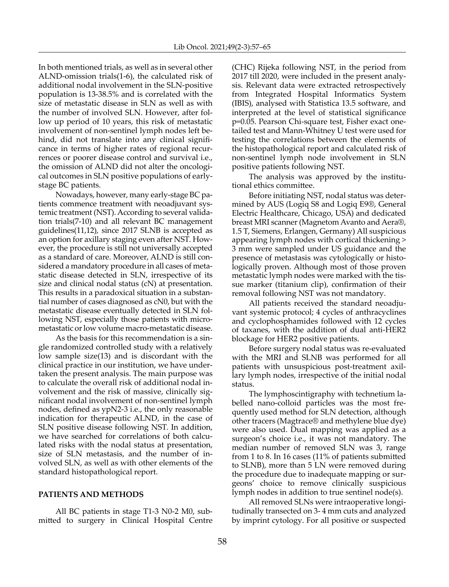In both mentioned trials, as well as in several other ALND-omission trials(1-6), the calculated risk of additional nodal involvement in the SLN-positive population is 13-38.5% and is correlated with the size of metastatic disease in SLN as well as with the number of involved SLN. However, after follow up period of 10 years, this risk of metastatic involvement of non-sentinel lymph nodes left behind, did not translate into any clinical significance in terms of higher rates of regional recurrences or poorer disease control and survival i.e., the omission of ALND did not alter the oncological outcomes in SLN positive populations of earlystage BC patients.

Nowadays, however, many early-stage BC patients commence treatment with neoadjuvant systemic treatment (NST). According to several validation trials(7-10) and all relevant BC management guidelines(11,12), since 2017 SLNB is accepted as an option for axillary staging even after NST. However, the procedure is still not universally accepted as a standard of care. Moreover, ALND is still considered a mandatory procedure in all cases of metastatic disease detected in SLN, irrespective of its size and clinical nodal status (cN) at presentation. This results in a paradoxical situation in a substantial number of cases diagnosed as cN0, but with the metastatic disease eventually detected in SLN following NST, especially those patients with micrometastatic or low volume macro-metastatic disease.

As the basis for this recommendation is a single randomized controlled study with a relatively low sample size(13) and is discordant with the clinical practice in our institution, we have undertaken the present analysis. The main purpose was to calculate the overall risk of additional nodal involvement and the risk of massive, clinically significant nodal involvement of non-sentinel lymph nodes, defined as ypN2-3 i.e., the only reasonable indication for therapeutic ALND, in the case of SLN positive disease following NST. In addition, we have searched for correlations of both calculated risks with the nodal status at presentation, size of SLN metastasis, and the number of involved SLN, as well as with other elements of the standard histopathological report.

### **PATIENTS AND METHODS**

All BC patients in stage T1-3 N0-2 M0, submitted to surgery in Clinical Hospital Centre (CHC) Rijeka following NST, in the period from 2017 till 2020, were included in the present analysis. Relevant data were extracted retrospectively from Integrated Hospital Informatics System (IBIS), analysed with Statistica 13.5 software, and interpreted at the level of statistical significance p=0.05. Pearson Chi-square test, Fisher exact onetailed test and Mann-Whitney U test were used for testing the correlations between the elements of the histopathological report and calculated risk of non-sentinel lymph node involvement in SLN positive patients following NST.

The analysis was approved by the institutional ethics committee.

Before initiating NST, nodal status was determined by AUS (Logiq S8 and Logiq E9®, General Electric Healthcare, Chicago, USA) and dedicated breast MRI scanner (Magnetom Avanto and Aera®, 1.5 T, Siemens, Erlangen, Germany) All suspicious appearing lymph nodes with cortical thickening > 3 mm were sampled under US guidance and the presence of metastasis was cytologically or histologically proven. Although most of those proven metastatic lymph nodes were marked with the tissue marker (titanium clip), confirmation of their removal following NST was not mandatory.

All patients received the standard neoadjuvant systemic protocol; 4 cycles of anthracyclines and cyclophosphamides followed with 12 cycles of taxanes, with the addition of dual anti-HER2 blockage for HER2 positive patients.

Before surgery nodal status was re-evaluated with the MRI and SLNB was performed for all patients with unsuspicious post-treatment axillary lymph nodes, irrespective of the initial nodal status.

The lymphoscintigraphy with technetium labelled nano-colloid particles was the most frequently used method for SLN detection, although other tracers (Magtrace® and methylene blue dye) were also used. Dual mapping was applied as a surgeon's choice i.e., it was not mandatory. The median number of removed SLN was 3, range from 1 to 8. In 16 cases (11% of patients submitted to SLNB), more than 5 LN were removed during the procedure due to inadequate mapping or surgeons' choice to remove clinically suspicious lymph nodes in addition to true sentinel node(s).

All removed SLNs were intraoperative longitudinally transected on 3- 4 mm cuts and analyzed by imprint cytology. For all positive or suspected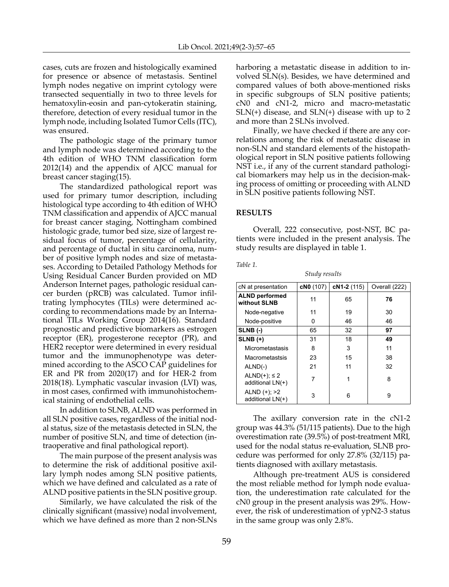cases, cuts are frozen and histologically examined for presence or absence of metastasis. Sentinel lymph nodes negative on imprint cytology were transected sequentially in two to three levels for hematoxylin-eosin and pan-cytokeratin staining, therefore, detection of every residual tumor in the lymph node, including Isolated Tumor Cells (ITC), was ensured.

The pathologic stage of the primary tumor and lymph node was determined according to the 4th edition of WHO TNM classification form 2012(14) and the appendix of AJCC manual for breast cancer staging(15).

The standardized pathological report was used for primary tumor description, including histological type according to 4th edition of WHO TNM classification and appendix of AJCC manual for breast cancer staging, Nottingham combined histologic grade, tumor bed size, size of largest residual focus of tumor, percentage of cellularity, and percentage of ductal in situ carcinoma, number of positive lymph nodes and size of metastases. According to Detailed Pathology Methods for Using Residual Cancer Burden provided on MD Anderson Internet pages, pathologic residual cancer burden (pRCB) was calculated. Tumor infiltrating lymphocytes (TILs) were determined according to recommendations made by an International TILs Working Group 2014(16). Standard prognostic and predictive biomarkers as estrogen receptor (ER), progesterone receptor (PR), and HER2 receptor were determined in every residual tumor and the immunophenotype was determined according to the ASCO CAP guidelines for ER and PR from 2020(17) and for HER-2 from 2018(18). Lymphatic vascular invasion (LVI) was, in most cases, confirmed with immunohistochemical staining of endothelial cells.

In addition to SLNB, ALND was performed in all SLN positive cases, regardless of the initial nodal status, size of the metastasis detected in SLN, the number of positive SLN, and time of detection (intraoperative and final pathological report).

The main purpose of the present analysis was to determine the risk of additional positive axillary lymph nodes among SLN positive patients, which we have defined and calculated as a rate of ALND positive patients in the SLN positive group.

Similarly, we have calculated the risk of the clinically significant (massive) nodal involvement, which we have defined as more than 2 non-SLNs

harboring a metastatic disease in addition to involved SLN(s). Besides, we have determined and compared values of both above-mentioned risks in specific subgroups of SLN positive patients; cN0 and cN1-2, micro and macro-metastatic SLN(+) disease, and SLN(+) disease with up to 2 and more than 2 SLNs involved.

Finally, we have checked if there are any correlations among the risk of metastatic disease in non-SLN and standard elements of the histopathological report in SLN positive patients following NST i.e., if any of the current standard pathological biomarkers may help us in the decision-making process of omitting or proceeding with ALND in SLN positive patients following NST.

# **RESULTS**

Overall, 222 consecutive, post-NST, BC patients were included in the present analysis. The study results are displayed in table 1.

*Table 1.*

| Study results                             |           |             |               |
|-------------------------------------------|-----------|-------------|---------------|
| cN at presentation                        | cN0 (107) | cN1-2 (115) | Overall (222) |
| <b>ALND</b> performed<br>without SLNB     | 11        | 65          | 76            |
| Node-negative                             | 11        | 19          | 30            |
| Node-positive                             | 0         | 46          | 46            |
| SLNB(-)                                   | 65        | 32          | 97            |
| $SLNB (+)$                                | 31        | 18          | 49            |
| Micrometastasis                           | 8         | 3           | 11            |
| Macrometastsis                            | 23        | 15          | 38            |
| $ALND(-)$                                 | 21        | 11          | 32            |
| ALND $(+)$ ; $\leq$ 2<br>additional LN(+) | 7         | 1           | 8             |
| ALND $(+); >2$<br>additional LN(+)        | 3         | 6           | 9             |

The axillary conversion rate in the cN1-2 group was 44.3% (51/115 patients). Due to the high overestimation rate (39.5%) of post-treatment MRI, used for the nodal status re-evaluation, SLNB procedure was performed for only 27.8% (32/115) patients diagnosed with axillary metastasis.

Although pre-treatment AUS is considered the most reliable method for lymph node evaluation, the underestimation rate calculated for the cN0 group in the present analysis was 29%. However, the risk of underestimation of ypN2-3 status in the same group was only 2.8%.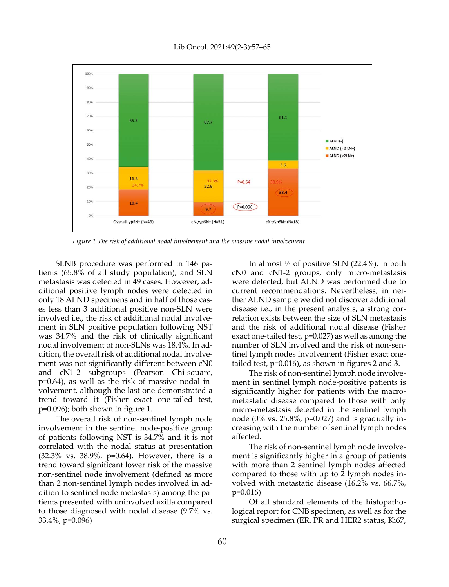

*Figure 1 The risk of additional nodal involvement and the massive nodal involvement*

SLNB procedure was performed in 146 patients (65.8% of all study population), and SLN metastasis was detected in 49 cases. However, additional positive lymph nodes were detected in only 18 ALND specimens and in half of those cases less than 3 additional positive non-SLN were involved i.e., the risk of additional nodal involvement in SLN positive population following NST was 34.7% and the risk of clinically significant nodal involvement of non-SLNs was 18.4%. In addition, the overall risk of additional nodal involvement was not significantly different between cN0 and cN1-2 subgroups (Pearson Chi-square, p=0.64), as well as the risk of massive nodal involvement, although the last one demonstrated a trend toward it (Fisher exact one-tailed test, p=0.096); both shown in figure 1.

The overall risk of non-sentinel lymph node involvement in the sentinel node-positive group of patients following NST is 34.7% and it is not correlated with the nodal status at presentation (32.3% vs. 38.9%, p=0.64). However, there is a trend toward significant lower risk of the massive non-sentinel node involvement (defined as more than 2 non-sentinel lymph nodes involved in addition to sentinel node metastasis) among the patients presented with uninvolved axilla compared to those diagnosed with nodal disease (9.7% vs. 33.4%, p=0.096)

In almost  $\frac{1}{4}$  of positive SLN (22.4%), in both cN0 and cN1-2 groups, only micro-metastasis were detected, but ALND was performed due to current recommendations. Nevertheless, in neither ALND sample we did not discover additional disease i.e., in the present analysis, a strong correlation exists between the size of SLN metastasis and the risk of additional nodal disease (Fisher exact one-tailed test, p=0.027) as well as among the number of SLN involved and the risk of non-sentinel lymph nodes involvement (Fisher exact onetailed test, p=0.016), as shown in figures 2 and 3.

The risk of non-sentinel lymph node involvement in sentinel lymph node-positive patients is significantly higher for patients with the macrometastatic disease compared to those with only micro-metastasis detected in the sentinel lymph node (0% vs. 25.8%,  $p=0.027$ ) and is gradually increasing with the number of sentinel lymph nodes affected.

The risk of non-sentinel lymph node involvement is significantly higher in a group of patients with more than 2 sentinel lymph nodes affected compared to those with up to 2 lymph nodes involved with metastatic disease (16.2% vs. 66.7%, p=0.016)

Of all standard elements of the histopathological report for CNB specimen, as well as for the surgical specimen (ER, PR and HER2 status, Ki67,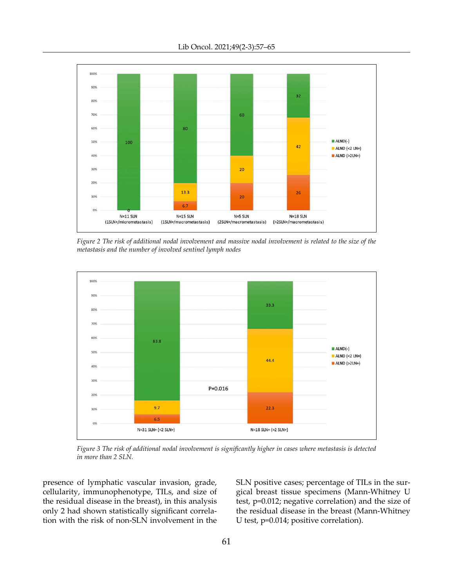

*Figure 2 The risk of additional nodal involvement and massive nodal involvement is related to the size of the metastasis and the number of involved sentinel lymph nodes*



*Figure 3 The risk of additional nodal involvement is significantly higher in cases where metastasis is detected in more than 2 SLN.*

presence of lymphatic vascular invasion, grade, cellularity, immunophenotype, TILs, and size of the residual disease in the breast), in this analysis only 2 had shown statistically significant correlation with the risk of non-SLN involvement in the SLN positive cases; percentage of TILs in the surgical breast tissue specimens (Mann-Whitney U test, p=0.012; negative correlation) and the size of the residual disease in the breast (Mann-Whitney U test, p=0.014; positive correlation).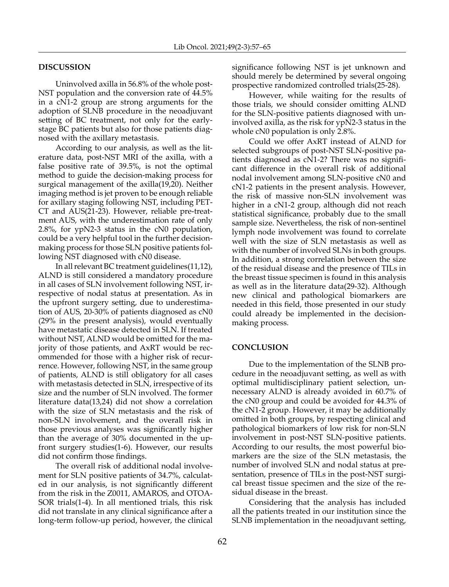# **DISCUSSION**

Uninvolved axilla in 56.8% of the whole post-NST population and the conversion rate of 44.5% in a cN1-2 group are strong arguments for the adoption of SLNB procedure in the neoadjuvant setting of BC treatment, not only for the earlystage BC patients but also for those patients diagnosed with the axillary metastasis.

According to our analysis, as well as the literature data, post-NST MRI of the axilla, with a false positive rate of 39.5%, is not the optimal method to guide the decision-making process for surgical management of the axilla(19,20). Neither imaging method is jet proven to be enough reliable for axillary staging following NST, including PET-CT and AUS(21-23). However, reliable pre-treatment AUS, with the underestimation rate of only 2.8%, for ypN2-3 status in the cN0 population, could be a very helpful tool in the further decisionmaking process for those SLN positive patients following NST diagnosed with cN0 disease.

In all relevant BC treatment guidelines(11,12), ALND is still considered a mandatory procedure in all cases of SLN involvement following NST, irrespective of nodal status at presentation. As in the upfront surgery setting, due to underestimation of AUS, 20-30% of patients diagnosed as cN0 (29% in the present analysis), would eventually have metastatic disease detected in SLN. If treated without NST, ALND would be omitted for the majority of those patients, and AxRT would be recommended for those with a higher risk of recurrence. However, following NST, in the same group of patients, ALND is still obligatory for all cases with metastasis detected in SLN, irrespective of its size and the number of SLN involved. The former literature data(13,24) did not show a correlation with the size of SLN metastasis and the risk of non-SLN involvement, and the overall risk in those previous analyses was significantly higher than the average of 30% documented in the upfront surgery studies(1-6). However, our results did not confirm those findings.

The overall risk of additional nodal involvement for SLN positive patients of 34.7%, calculated in our analysis, is not significantly different from the risk in the Z0011, AMAROS, and OTOA-SOR trials(1-4). In all mentioned trials, this risk did not translate in any clinical significance after a long-term follow-up period, however, the clinical significance following NST is jet unknown and should merely be determined by several ongoing prospective randomized controlled trials(25-28).

However, while waiting for the results of those trials, we should consider omitting ALND for the SLN-positive patients diagnosed with uninvolved axilla, as the risk for ypN2-3 status in the whole cN0 population is only 2.8%.

Could we offer AxRT instead of ALND for selected subgroups of post-NST SLN-positive patients diagnosed as cN1-2? There was no significant difference in the overall risk of additional nodal involvement among SLN-positive cN0 and cN1-2 patients in the present analysis. However, the risk of massive non-SLN involvement was higher in a cN1-2 group, although did not reach statistical significance, probably due to the small sample size. Nevertheless, the risk of non-sentinel lymph node involvement was found to correlate well with the size of SLN metastasis as well as with the number of involved SLNs in both groups. In addition, a strong correlation between the size of the residual disease and the presence of TILs in the breast tissue specimen is found in this analysis as well as in the literature data(29-32). Although new clinical and pathological biomarkers are needed in this field, those presented in our study could already be implemented in the decisionmaking process.

## **CONCLUSION**

Due to the implementation of the SLNB procedure in the neoadjuvant setting, as well as with optimal multidisciplinary patient selection, unnecessary ALND is already avoided in 60.7% of the cN0 group and could be avoided for 44.3% of the cN1-2 group. However, it may be additionally omitted in both groups, by respecting clinical and pathological biomarkers of low risk for non-SLN involvement in post-NST SLN-positive patients. According to our results, the most powerful biomarkers are the size of the SLN metastasis, the number of involved SLN and nodal status at presentation, presence of TILs in the post-NST surgical breast tissue specimen and the size of the residual disease in the breast.

Considering that the analysis has included all the patients treated in our institution since the SLNB implementation in the neoadjuvant setting,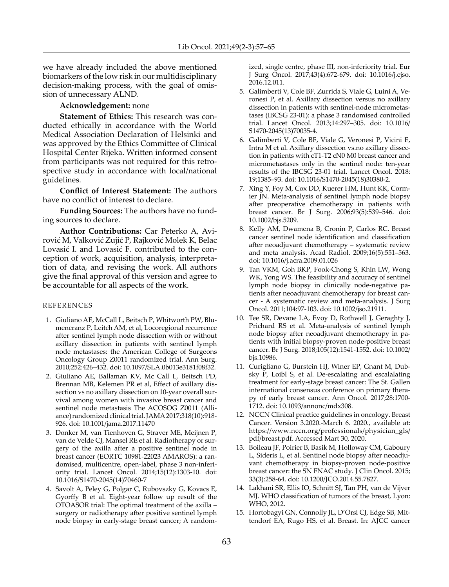we have already included the above mentioned biomarkers of the low risk in our multidisciplinary decision-making process, with the goal of omission of unnecessary ALND.

## **Acknowledgement:** none

**Statement of Ethics:** This research was conducted ethically in accordance with the World Medical Association Declaration of Helsinki and was approved by the Ethics Committee of Clinical Hospital Center Rijeka. Written informed consent from participants was not required for this retrospective study in accordance with local/national guidelines.

**Conflict of Interest Statement:** The authors have no conflict of interest to declare.

**Funding Sources:** The authors have no funding sources to declare.

**Author Contributions:** Car Peterko A, Avirović M, Valković Zujić P, Rajković Molek K, Belac Lovasić I. and Lovasić F. contributed to the conception of work, acquisition, analysis, interpretation of data, and revising the work. All authors give the final approval of this version and agree to be accountable for all aspects of the work.

#### **REFERENCES**

- 1. Giuliano AE, McCall L, Beitsch P, Whitworth PW, Blumencranz P, Leitch AM, et al, Locoregional recurrence after sentinel lymph node dissection with or without axillary dissection in patients with sentinel lymph node metastases: the American College of Surgeons Oncology Group Z0011 randomized trial. Ann Surg. 2010;252:426–432. doi: 10.1097/SLA.0b013e3181f08f32.
- 2. Giuliano AE, Ballaman KV, Mc Call L, Beitsch PD, Brennan MB, Kelemen PR et al, Effect of axillary dissection vs no axillary dissection on 10-year overall survival among women with invasive breast cancer and sentinel node metastasis The ACOSOG Z0011 (Alliance) randomized clinical trial. JAMA 2017;318(10):918- 926. doi: [10.1001/jama.2017.11470](https://doi.org/10.1001/jama.2017.11470)
- 3. Donker M, van Tienhoven G, Straver ME, Meijnen P, van de Velde CJ, Mansel RE et al. Radiotherapy or surgery of the axilla after a positive sentinel node in breast cancer (EORTC 10981-22023 AMAROS): a randomised, multicentre, open-label, phase 3 non-inferiority trial. Lancet Oncol. 2014;15(12):1303-10. doi: 10.1016/S1470-2045(14)70460-7
- 4. Savolt A, Peley G, Polgar C, Rubovszky G, Kovacs E, Gyorffy B et al. Eight-year follow up result of the OTOASOR trial: The optimal treatment of the axilla – surgery or radiotherapy after positive sentinel lymph node biopsy in early-stage breast cancer; A random-

ized, single centre, phase III, non-inferiority trial. Eur J Surg Oncol. 2017;43(4):672-679. doi: 10.1016/j.ejso. 2016.12.011.

- 5. Galimberti V, Cole BF, Zurrida S, Viale G, Luini A, Veronesi P, et al. Axillary dissection versus no axillary dissection in patients with sentinel-node micrometastases (IBCSG 23-01): a phase 3 randomised controlled trial. Lancet Oncol. 2013;14:297–305. doi: 10.1016/ S1470-2045(13)70035-4.
- 6. Galimberti V, Cole BF, Viale G, Veronesi P, Vicini E, Intra M et al. Axillary dissection vs.no axillary dissection in patients with cT1-T2 cN0 M0 breast cancer and micrometastases only in the sentinel node: ten-year results of the IBCSG 23-01 trial. Lancet Oncol. 2018: 19;1385–93. doi: 10.1016/S1470-2045(18)30380-2.
- 7. Xing Y, Foy M, Cox DD, Kuerer HM, Hunt KK, Cormier JN. Meta-analysis of sentinel lymph node biopsy after preoperative chemotherapy in patients with breast cancer. Br J Surg. 2006;93(5):539–546. doi: 10.1002/bjs.5209.
- 8. Kelly AM, Dwamena B, Cronin P, Carlos RC. Breast cancer sentinel node identification and classification after neoadjuvant chemotherapy – systematic review and meta analysis. Acad Radiol. 2009;16(5):551–563. doi: 10.1016/j.acra.2009.01.026
- 9. Tan VKM, Goh BKP, Fook-Chong S, Khin LW, Wong WK, Yong WS. The feasibility and accuracy of sentinel lymph node biopsy in clinically node-negative patients after neoadjuvant chemotherapy for breast cancer - A systematic review and meta-analysis. J Surg Oncol. 2011;104:97-103. doi: 10.1002/jso.21911.
- 10. Tee SR, Devane LA, Evoy D, Rothwell J, Geraghty J, Prichard RS et al. Meta-analysis of sentinel lymph node biopsy after neoadjuvant chemotherapy in patients with initial biopsy-proven node-positive breast cancer. Br J Surg. 2018;105(12):1541-1552. doi: 10.1002/ bjs.10986.
- 11. Curigliano G, Burstein HJ, Winer EP, Gnant M, Dubsky  $\overline{P}$ , Loibl S, et al. De-escalating and escalalating treatment for early-stage breast cancer: The St. Gallen international consensus conference on primary therapy of early breast cancer. Ann Oncol. 2017;28:1700- 1712. doi: 10.1093/annonc/mdx308.
- 12. NCCN Clinical practice guidelines in oncology. Breast Cancer. Version 3.2020.-March 6. 2020., available at: [https://www.nccn.org/professionals/physician\\_gls/](https://www.nccn.org/professionals/physician_gls/pdf/breast.pdf) [pdf/breast.pdf](https://www.nccn.org/professionals/physician_gls/pdf/breast.pdf). Accessed Mart 30, 2020.
- 13. Boileau JF, Poirier B, Basik M, Holloway CM, Gaboury L, Sideris L, et al. Sentinel node biopsy after neoadjuvant chemotherapy in biopsy-proven node-positive breast cancer: the SN FNAC study. J Clin Oncol. 2015; 33(3):258-64. doi: 10.1200/JCO.2014.55.7827.
- 14. Lakhani SR, Ellis IO, Schnitt SJ, Tan PH, van de Vijver MJ. WHO classification of tumors of the breast, Lyon: WHO, 2012.
- 15. Hortobagyi GN, Connolly JL, D'Orsi CJ, Edge SB, Mittendorf EA, Rugo HS, et al. Breast. In: AJCC cancer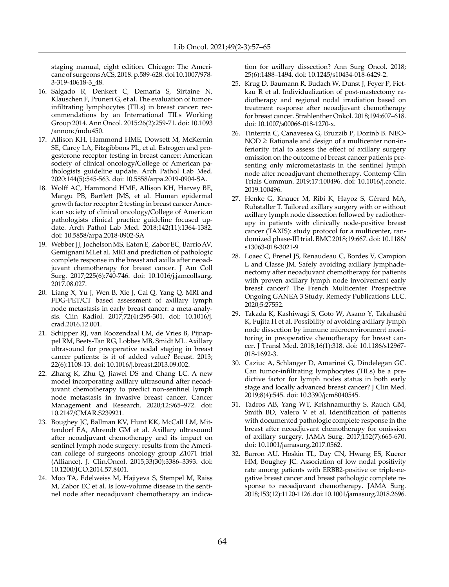staging manual, eight edition. Chicago: The Americanc of surgeons ACS, 2018. p.589-628. doi 10.1007/978- 3-319-40618-3\_48.

- 16. Salgado R, Denkert C, Demaria S, Sirtaine N, Klauschen F, Pruneri G, et al. The evaluation of tumorinfiltrating lymphocytes (TILs) in breast cancer: recommendations by an International TILs Working Group 2014. Ann Oncol. 2015:26(2):259-71. doi: 10.1093 /annonc/mdu450.
- 17. Allison KH, Hammond HME, Dowsett M, McKernin SE, Carey LA, Fitzgibbons PL, et al. Estrogen and progesterone receptor testing in breast cancer: American society of clinical oncology/College of American pathologists guideline update. Arch Pathol Lab Med. 2020:144(5):545-563. doi: 10.5858/arpa.2019-0904-SA.
- 18. Wolff AC, Hammond HME, Allison KH, Harvey BE, Mangu PB, Bartlett JMS, et al. Human epidermal growth factor receptor 2 testing in breast cancer American society of clinical oncology/College of American pathologists clinical practice guideline focused update. Arch Pathol Lab Med. 2018;142(11):1364-1382. doi: 10.5858/arpa.2018-0902-SA
- 19. Webber JJ, [Jochelson](https://pubmed.ncbi.nlm.nih.gov/?term=Jochelson+MS&cauthor_id=28919579)MS, [Eaton](https://pubmed.ncbi.nlm.nih.gov/?term=Eaton+A&cauthor_id=28919579)E, [Zabor](https://pubmed.ncbi.nlm.nih.gov/?term=Zabor+EC&cauthor_id=28919579)EC, [Barrio](https://pubmed.ncbi.nlm.nih.gov/?term=Barrio+AV&cauthor_id=28919579)AV, [Gemignani](https://pubmed.ncbi.nlm.nih.gov/?term=Gemignani+ML&cauthor_id=28919579)MLet al. MRI and prediction of pathologic complete response in the breast and axilla after neoadjuvant chemotherapy for breast cancer. J Am Coll Surg. 2017;225(6):740-746. doi: 10.1016/j.jamcollsurg. 2017.08.027.
- 20. Liang X, Yu J, Wen B, Xie J, Cai Q, Yang Q. MRI and FDG-PET/CT based assessment of axillary lymph node metastasis in early breast cancer: a meta-analysis. Clin Radiol. 2017;72(4):295-301. doi: 10.1016/j. crad.2016.12.001.
- 21. Schipper RJ, van Roozendaal LM, de Vries B, Pijnappel RM, Beets-Tan RG, Lobbes MB, Smidt ML. Axillary ultrasound for preoperative nodal staging in breast cancer patients: is it of added value? Breast. 2013; 22(6):1108-13. doi: 10.1016/j.breast.2013.09.002.
- 22. Zhang K, Zhu Q, Jiawei DS and Chang LC. A new model incorporating axillary ultrasound after neoadjuvant chemotherapy to predict non-sentinel lymph node metastasis in invasive breast cancer. Cancer Management and Research. 2020;12:965–972. doi: 10.2147/CMAR.S239921.
- 23. Boughey JC, Ballman KV, Hunt KK, [McCall](https://www.ncbi.nlm.nih.gov/pubmed/?term=McCall LM%5BAuthor%5D&cauthor=true&cauthor_uid=25646192) LM, [Mit](https://www.ncbi.nlm.nih.gov/pubmed/?term=Mittendorf EA%5BAuthor%5D&cauthor=true&cauthor_uid=25646192)[tendorf](https://www.ncbi.nlm.nih.gov/pubmed/?term=Mittendorf EA%5BAuthor%5D&cauthor=true&cauthor_uid=25646192) EA, [Ahrendt](https://www.ncbi.nlm.nih.gov/pubmed/?term=Ahrendt GM%5BAuthor%5D&cauthor=true&cauthor_uid=25646192) GM et al. Axillary ultrasound after neoadjuvant chemotherapy and its impact on sentinel lymph node surgery: results from the American college of surgeons oncology group Z1071 trial (Alliance). J. Clin.Oncol. 2015;33(30):3386–3393. doi: 10.1200/JCO.2014.57.8401.
- 24. Moo TA, Edelweiss M, Hajiyeva S, Stempel M, Raiss M, Zabor EC et al. Is low-volume disease in the sentinel node after neoadjuvant chemotherapy an indica-

tion for axillary dissection? Ann Surg Oncol. 2018; 25(6):1488–1494. doi: 10.1245/s10434-018-6429-2.

- 25. Krug D, Baumann R, Budach W, Dunst J, Feyer P, Fietkau R et al. Individualization of post-mastectomy radiotherapy and regional nodal irradiation based on treatment response after neoadjuvant chemotherapy for breast cancer. Strahlenther Onkol. 2018;194:607–618. doi: 10.1007/s00066-018-1270-x.
- 26. Tinterria C, Canavesea G, Bruzzib P, Dozinb B. NEO-NOD 2: Rationale and design of a multicenter non-inferiority trial to assess the effect of axillary surgery omission on the outcome of breast cancer patients presenting only micrometastasis in the sentinel lymph node after neoadjuvant chemotherapy. Contemp Clin Trials Commun. 2019;17:100496. doi: 10.1016/j.conctc. 2019.100496.
- 27. Henke G, Knauer M, Ribi K, Hayoz S, Gérard MA, Ruhstaller T. Tailored axillary surgery with or without axillary lymph node dissection followed by radiotherapy in patients with clinically node-positive breast cancer (TAXIS): study protocol for a multicenter, randomized phase-III trial. BMC 2018;19:667. [doi: 10.1186/](https://doi: 10.1186/s13063-018-3021-9) [s13063-018-3021-9](https://doi: 10.1186/s13063-018-3021-9)
- 28. Loaec C, Frenel JS, Renaudeau C, Bordes V, Campion L and Classe JM. Safely avoiding axillary lymphadenectomy after neoadjuvant chemotherapy for patients with proven axillary lymph node involvement early breast cancer? The French Multicenter Prospective Ongoing GANEA 3 Study. Remedy Publications LLC. 2020;5:27552.
- 29. Takada K, Kashiwagi S, Goto W, Asano Y, Takahashi K, Fujita H et al. Possibility of avoiding axillary lymph node dissection by immune microenvironment monitoring in preoperative chemotherapy for breast cancer. J Transl Med. 2018;16(1):318. doi: 10.1186/s12967- 018-1692-3.
- 30. Caziuc A, Schlanger D, Amarinei G, Dindelegan GC. Can tumor-infiltrating lymphocytes (TILs) be a predictive factor for lymph nodes status in both early stage and locally advanced breast cancer? J Clin Med. 2019;8(4):545. doi: 10.3390/jcm8040545.
- 31. Tadros AB, Yang WT, Krishnamurthy S, Rauch GM, Smith BD, Valero V et al. Identification of patients with documented pathologic complete response in the breast after neoadjuvant chemotherapy for omission of axillary surgery. JAMA Surg. 2017;152(7):665-670. doi: 10.1001/jamasurg.2017.0562.
- 32. Barron AU, Hoskin TL, Day CN, Hwang ES, Kuerer HM, Boughey JC. Association of low nodal positivity rate among patients with ERBB2-positive or triple-negative breast cancer and breast pathologic complete response to neoadjuvant chemotherapy. JAMA Surg. 2018;153(12):1120-1126. doi: 10.1001/jamasurg.2018.2696.